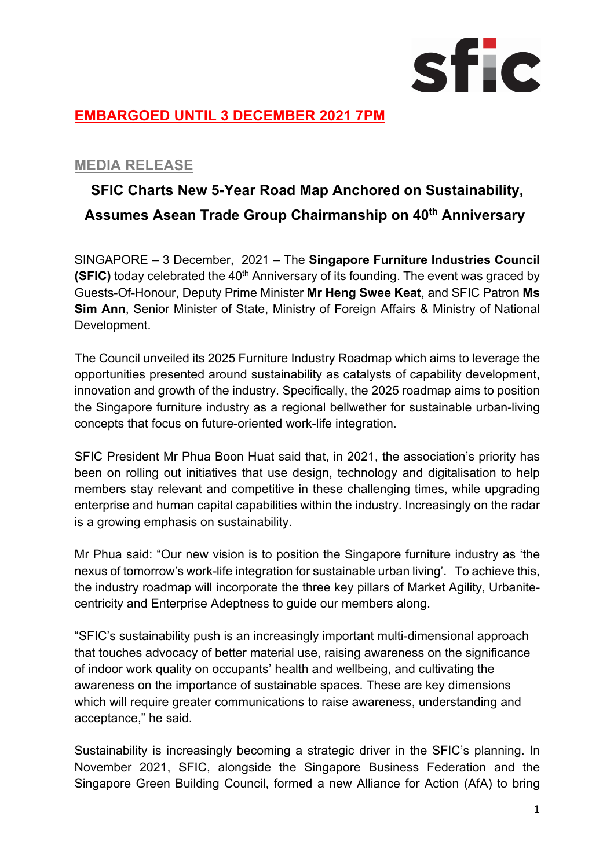

## **EMBARGOED UNTIL 3 DECEMBER 2021 7PM**

### **MEDIA RELEASE**

# **SFIC Charts New 5-Year Road Map Anchored on Sustainability, Assumes Asean Trade Group Chairmanship on 40th Anniversary**

SINGAPORE – 3 December, 2021 – The **Singapore Furniture Industries Council (SFIC)** today celebrated the 40<sup>th</sup> Anniversary of its founding. The event was graced by Guests-Of-Honour, Deputy Prime Minister **Mr Heng Swee Keat**, and SFIC Patron **Ms Sim Ann**, Senior Minister of State, Ministry of Foreign Affairs & Ministry of National Development.

The Council unveiled its 2025 Furniture Industry Roadmap which aims to leverage the opportunities presented around sustainability as catalysts of capability development, innovation and growth of the industry. Specifically, the 2025 roadmap aims to position the Singapore furniture industry as a regional bellwether for sustainable urban-living concepts that focus on future-oriented work-life integration.

SFIC President Mr Phua Boon Huat said that, in 2021, the association's priority has been on rolling out initiatives that use design, technology and digitalisation to help members stay relevant and competitive in these challenging times, while upgrading enterprise and human capital capabilities within the industry. Increasingly on the radar is a growing emphasis on sustainability.

Mr Phua said: "Our new vision is to position the Singapore furniture industry as 'the nexus of tomorrow's work-life integration for sustainable urban living'. To achieve this, the industry roadmap will incorporate the three key pillars of Market Agility, Urbanitecentricity and Enterprise Adeptness to guide our members along.

"SFIC's sustainability push is an increasingly important multi-dimensional approach that touches advocacy of better material use, raising awareness on the significance of indoor work quality on occupants' health and wellbeing, and cultivating the awareness on the importance of sustainable spaces. These are key dimensions which will require greater communications to raise awareness, understanding and acceptance," he said.

Sustainability is increasingly becoming a strategic driver in the SFIC's planning. In November 2021, SFIC, alongside the Singapore Business Federation and the Singapore Green Building Council, formed a new Alliance for Action (AfA) to bring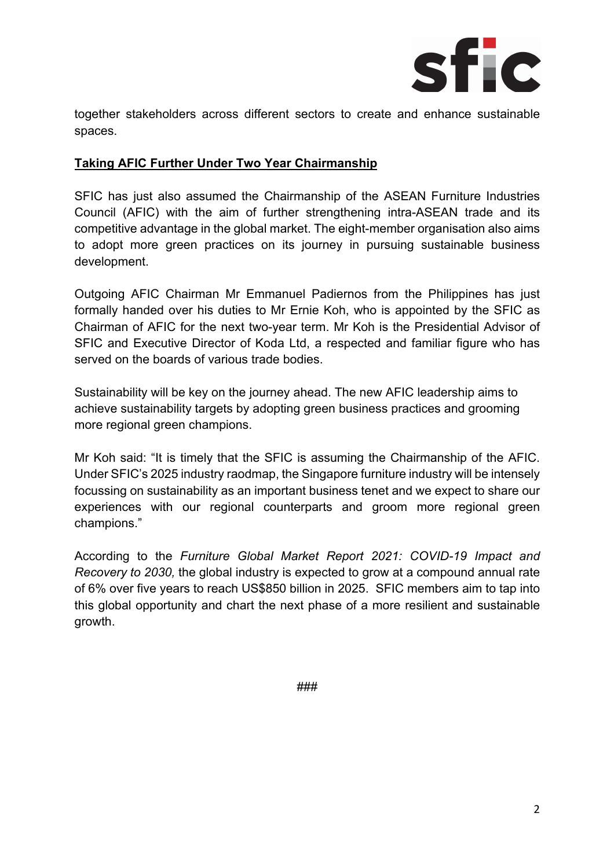

together stakeholders across different sectors to create and enhance sustainable spaces.

#### **Taking AFIC Further Under Two Year Chairmanship**

SFIC has just also assumed the Chairmanship of the ASEAN Furniture Industries Council (AFIC) with the aim of further strengthening intra-ASEAN trade and its competitive advantage in the global market. The eight-member organisation also aims to adopt more green practices on its journey in pursuing sustainable business development.

Outgoing AFIC Chairman Mr Emmanuel Padiernos from the Philippines has just formally handed over his duties to Mr Ernie Koh, who is appointed by the SFIC as Chairman of AFIC for the next two-year term. Mr Koh is the Presidential Advisor of SFIC and Executive Director of Koda Ltd, a respected and familiar figure who has served on the boards of various trade bodies.

Sustainability will be key on the journey ahead. The new AFIC leadership aims to achieve sustainability targets by adopting green business practices and grooming more regional green champions.

Mr Koh said: "It is timely that the SFIC is assuming the Chairmanship of the AFIC. Under SFIC's 2025 industry raodmap, the Singapore furniture industry will be intensely focussing on sustainability as an important business tenet and we expect to share our experiences with our regional counterparts and groom more regional green champions."

According to the *Furniture Global Market Report 2021: COVID-19 Impact and Recovery to 2030,* the global industry is expected to grow at a compound annual rate of 6% over five years to reach US\$850 billion in 2025. SFIC members aim to tap into this global opportunity and chart the next phase of a more resilient and sustainable growth.

###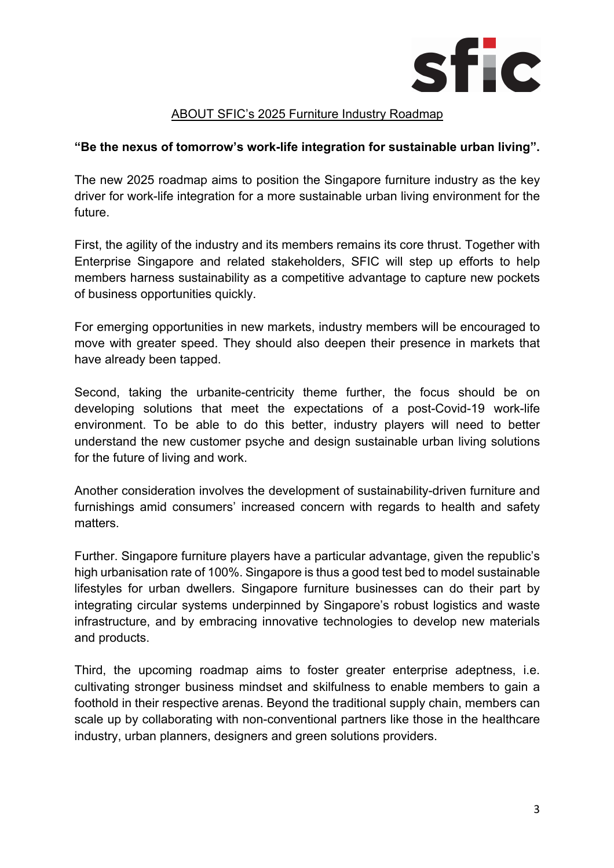

#### ABOUT SFIC's 2025 Furniture Industry Roadmap

#### **"Be the nexus of tomorrow's work-life integration for sustainable urban living".**

The new 2025 roadmap aims to position the Singapore furniture industry as the key driver for work-life integration for a more sustainable urban living environment for the future.

First, the agility of the industry and its members remains its core thrust. Together with Enterprise Singapore and related stakeholders, SFIC will step up efforts to help members harness sustainability as a competitive advantage to capture new pockets of business opportunities quickly.

For emerging opportunities in new markets, industry members will be encouraged to move with greater speed. They should also deepen their presence in markets that have already been tapped.

Second, taking the urbanite-centricity theme further, the focus should be on developing solutions that meet the expectations of a post-Covid-19 work-life environment. To be able to do this better, industry players will need to better understand the new customer psyche and design sustainable urban living solutions for the future of living and work.

Another consideration involves the development of sustainability-driven furniture and furnishings amid consumers' increased concern with regards to health and safety matters.

Further. Singapore furniture players have a particular advantage, given the republic's high urbanisation rate of 100%. Singapore is thus a good test bed to model sustainable lifestyles for urban dwellers. Singapore furniture businesses can do their part by integrating circular systems underpinned by Singapore's robust logistics and waste infrastructure, and by embracing innovative technologies to develop new materials and products.

Third, the upcoming roadmap aims to foster greater enterprise adeptness, i.e. cultivating stronger business mindset and skilfulness to enable members to gain a foothold in their respective arenas. Beyond the traditional supply chain, members can scale up by collaborating with non-conventional partners like those in the healthcare industry, urban planners, designers and green solutions providers.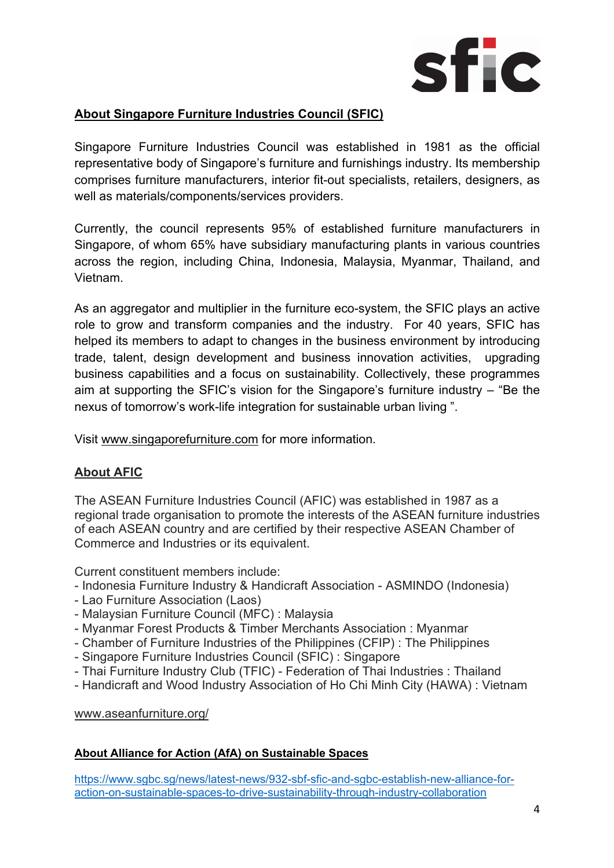

#### **About Singapore Furniture Industries Council (SFIC)**

Singapore Furniture Industries Council was established in 1981 as the official representative body of Singapore's furniture and furnishings industry. Its membership comprises furniture manufacturers, interior fit-out specialists, retailers, designers, as well as materials/components/services providers.

Currently, the council represents 95% of established furniture manufacturers in Singapore, of whom 65% have subsidiary manufacturing plants in various countries across the region, including China, Indonesia, Malaysia, Myanmar, Thailand, and Vietnam.

As an aggregator and multiplier in the furniture eco-system, the SFIC plays an active role to grow and transform companies and the industry. For 40 years, SFIC has helped its members to adapt to changes in the business environment by introducing trade, talent, design development and business innovation activities, upgrading business capabilities and a focus on sustainability. Collectively, these programmes aim at supporting the SFIC's vision for the Singapore's furniture industry – "Be the nexus of tomorrow's work-life integration for sustainable urban living ".

Visit www.singaporefurniture.com for more information.

#### **About AFIC**

The ASEAN Furniture Industries Council (AFIC) was established in 1987 as a regional trade organisation to promote the interests of the ASEAN furniture industries of each ASEAN country and are certified by their respective ASEAN Chamber of Commerce and Industries or its equivalent.

Current constituent members include:

- Indonesia Furniture Industry & Handicraft Association ASMINDO (Indonesia)
- Lao Furniture Association (Laos)
- Malaysian Furniture Council (MFC) : Malaysia
- Myanmar Forest Products & Timber Merchants Association : Myanmar
- Chamber of Furniture Industries of the Philippines (CFIP) : The Philippines
- Singapore Furniture Industries Council (SFIC) : Singapore
- Thai Furniture Industry Club (TFIC) Federation of Thai Industries : Thailand
- Handicraft and Wood Industry Association of Ho Chi Minh City (HAWA) : Vietnam

www.aseanfurniture.org/

#### **About Alliance for Action (AfA) on Sustainable Spaces**

https://www.sgbc.sg/news/latest-news/932-sbf-sfic-and-sgbc-establish-new-alliance-foraction-on-sustainable-spaces-to-drive-sustainability-through-industry-collaboration